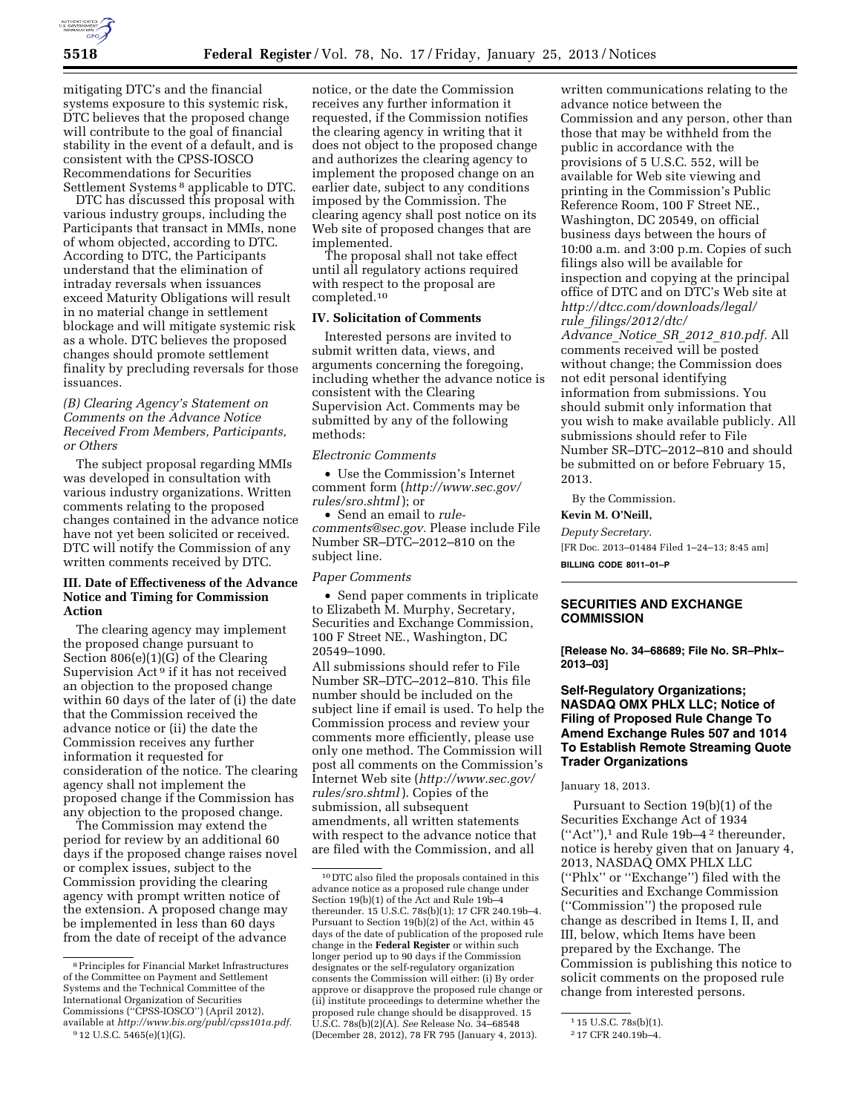

mitigating DTC's and the financial systems exposure to this systemic risk, DTC believes that the proposed change will contribute to the goal of financial stability in the event of a default, and is consistent with the CPSS-IOSCO Recommendations for Securities Settlement Systems<sup>8</sup> applicable to DTC.

DTC has discussed this proposal with various industry groups, including the Participants that transact in MMIs, none of whom objected, according to DTC. According to DTC, the Participants understand that the elimination of intraday reversals when issuances exceed Maturity Obligations will result in no material change in settlement blockage and will mitigate systemic risk as a whole. DTC believes the proposed changes should promote settlement finality by precluding reversals for those issuances.

*(B) Clearing Agency's Statement on Comments on the Advance Notice Received From Members, Participants, or Others* 

The subject proposal regarding MMIs was developed in consultation with various industry organizations. Written comments relating to the proposed changes contained in the advance notice have not yet been solicited or received. DTC will notify the Commission of any written comments received by DTC.

## **III. Date of Effectiveness of the Advance Notice and Timing for Commission Action**

The clearing agency may implement the proposed change pursuant to Section 806(e)(1)(G) of the Clearing Supervision Act 9 if it has not received an objection to the proposed change within 60 days of the later of (i) the date that the Commission received the advance notice or (ii) the date the Commission receives any further information it requested for consideration of the notice. The clearing agency shall not implement the proposed change if the Commission has any objection to the proposed change.

The Commission may extend the period for review by an additional 60 days if the proposed change raises novel or complex issues, subject to the Commission providing the clearing agency with prompt written notice of the extension. A proposed change may be implemented in less than 60 days from the date of receipt of the advance

notice, or the date the Commission receives any further information it requested, if the Commission notifies the clearing agency in writing that it does not object to the proposed change and authorizes the clearing agency to implement the proposed change on an earlier date, subject to any conditions imposed by the Commission. The clearing agency shall post notice on its Web site of proposed changes that are implemented.

The proposal shall not take effect until all regulatory actions required with respect to the proposal are completed.10

#### **IV. Solicitation of Comments**

Interested persons are invited to submit written data, views, and arguments concerning the foregoing, including whether the advance notice is consistent with the Clearing Supervision Act. Comments may be submitted by any of the following methods:

### *Electronic Comments*

• Use the Commission's Internet comment form (*[http://www.sec.gov/](http://www.sec.gov/rules/sro.shtml)  [rules/sro.shtml](http://www.sec.gov/rules/sro.shtml)* ); or

• Send an email to *[rule](mailto:rule-comments@sec.gov)[comments@sec.gov.](mailto:rule-comments@sec.gov)* Please include File Number SR–DTC–2012–810 on the subject line.

### *Paper Comments*

• Send paper comments in triplicate to Elizabeth M. Murphy, Secretary, Securities and Exchange Commission, 100 F Street NE., Washington, DC 20549–1090.

All submissions should refer to File Number SR–DTC–2012–810. This file number should be included on the subject line if email is used. To help the Commission process and review your comments more efficiently, please use only one method. The Commission will post all comments on the Commission's Internet Web site (*[http://www.sec.gov/](http://www.sec.gov/rules/sro.shtml)  [rules/sro.shtml](http://www.sec.gov/rules/sro.shtml)* ). Copies of the submission, all subsequent amendments, all written statements with respect to the advance notice that are filed with the Commission, and all

written communications relating to the advance notice between the Commission and any person, other than those that may be withheld from the public in accordance with the provisions of 5 U.S.C. 552, will be available for Web site viewing and printing in the Commission's Public Reference Room, 100 F Street NE., Washington, DC 20549, on official business days between the hours of 10:00 a.m. and 3:00 p.m. Copies of such filings also will be available for inspection and copying at the principal office of DTC and on DTC's Web site at *[http://dtcc.com/downloads/legal/](http://dtcc.com/downloads/legal/rule_filings/2012/dtc/Advance_Notice_SR_2012_810.pdf) rule*\_*[filings/2012/dtc/](http://dtcc.com/downloads/legal/rule_filings/2012/dtc/Advance_Notice_SR_2012_810.pdf)  [Advance](http://dtcc.com/downloads/legal/rule_filings/2012/dtc/Advance_Notice_SR_2012_810.pdf)*\_*Notice*\_*SR*\_*2012*\_*810.pdf.* All comments received will be posted without change; the Commission does not edit personal identifying information from submissions. You should submit only information that you wish to make available publicly. All submissions should refer to File Number SR–DTC–2012–810 and should be submitted on or before February 15, 2013.

By the Commission.

# **Kevin M. O'Neill,**

*Deputy Secretary.*  [FR Doc. 2013–01484 Filed 1–24–13; 8:45 am]

**BILLING CODE 8011–01–P** 

## **SECURITIES AND EXCHANGE COMMISSION**

**[Release No. 34–68689; File No. SR–Phlx– 2013–03]** 

## **Self-Regulatory Organizations; NASDAQ OMX PHLX LLC; Notice of Filing of Proposed Rule Change To Amend Exchange Rules 507 and 1014 To Establish Remote Streaming Quote Trader Organizations**

### January 18, 2013.

Pursuant to Section 19(b)(1) of the Securities Exchange Act of 1934  $("Act")$ , and Rule 19b-4<sup>2</sup> thereunder, notice is hereby given that on January 4, 2013, NASDAQ OMX PHLX LLC (''Phlx'' or ''Exchange'') filed with the Securities and Exchange Commission (''Commission'') the proposed rule change as described in Items I, II, and III, below, which Items have been prepared by the Exchange. The Commission is publishing this notice to solicit comments on the proposed rule change from interested persons.

<sup>8</sup>Principles for Financial Market Infrastructures of the Committee on Payment and Settlement Systems and the Technical Committee of the International Organization of Securities Commissions (''CPSS-IOSCO'') (April 2012), available at *[http://www.bis.org/publ/cpss101a.pdf.](http://www.bis.org/publ/cpss101a.pdf)* 

<sup>9</sup> 12 U.S.C. 5465(e)(1)(G).

<sup>10</sup> DTC also filed the proposals contained in this advance notice as a proposed rule change under Section 19(b)(1) of the Act and Rule 19b–4 thereunder. 15 U.S.C. 78s(b)(1); 17 CFR 240.19b–4. Pursuant to Section 19(b)(2) of the Act, within 45 days of the date of publication of the proposed rule change in the **Federal Register** or within such longer period up to 90 days if the Commission designates or the self-regulatory organization consents the Commission will either: (i) By order approve or disapprove the proposed rule change or (ii) institute proceedings to determine whether the proposed rule change should be disapproved. 15 U.S.C. 78s(b)(2)(A). *See* Release No. 34–68548 (December 28, 2012), 78 FR 795 (January 4, 2013).

<sup>1</sup> 15 U.S.C. 78s(b)(1).

<sup>2</sup> 17 CFR 240.19b–4.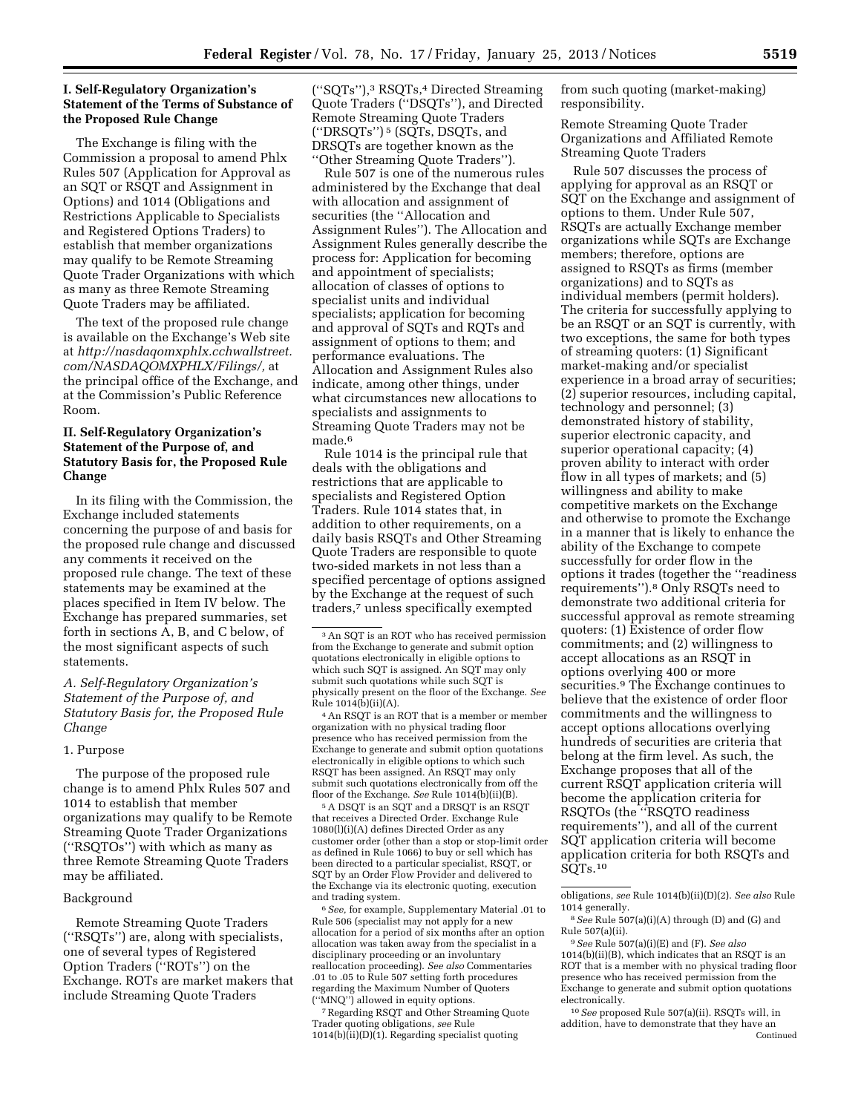## **I. Self-Regulatory Organization's Statement of the Terms of Substance of the Proposed Rule Change**

The Exchange is filing with the Commission a proposal to amend Phlx Rules 507 (Application for Approval as an SQT or RSQT and Assignment in Options) and 1014 (Obligations and Restrictions Applicable to Specialists and Registered Options Traders) to establish that member organizations may qualify to be Remote Streaming Quote Trader Organizations with which as many as three Remote Streaming Quote Traders may be affiliated.

The text of the proposed rule change is available on the Exchange's Web site at *[http://nasdaqomxphlx.cchwallstreet.](http://nasdaqomxphlx.cchwallstreet.com/NASDAQOMXPHLX/Filings/) [com/NASDAQOMXPHLX/Filings/,](http://nasdaqomxphlx.cchwallstreet.com/NASDAQOMXPHLX/Filings/)* at the principal office of the Exchange, and at the Commission's Public Reference Room.

# **II. Self-Regulatory Organization's Statement of the Purpose of, and Statutory Basis for, the Proposed Rule Change**

In its filing with the Commission, the Exchange included statements concerning the purpose of and basis for the proposed rule change and discussed any comments it received on the proposed rule change. The text of these statements may be examined at the places specified in Item IV below. The Exchange has prepared summaries, set forth in sections A, B, and C below, of the most significant aspects of such statements.

*A. Self-Regulatory Organization's Statement of the Purpose of, and Statutory Basis for, the Proposed Rule Change* 

#### 1. Purpose

The purpose of the proposed rule change is to amend Phlx Rules 507 and 1014 to establish that member organizations may qualify to be Remote Streaming Quote Trader Organizations (''RSQTOs'') with which as many as three Remote Streaming Quote Traders may be affiliated.

#### Background

Remote Streaming Quote Traders (''RSQTs'') are, along with specialists, one of several types of Registered Option Traders (''ROTs'') on the Exchange. ROTs are market makers that include Streaming Quote Traders

(''SQTs''),3 RSQTs,4 Directed Streaming Quote Traders (''DSQTs''), and Directed Remote Streaming Quote Traders (''DRSQTs'') 5 (SQTs, DSQTs, and DRSQTs are together known as the ''Other Streaming Quote Traders'').

Rule 507 is one of the numerous rules administered by the Exchange that deal with allocation and assignment of securities (the ''Allocation and Assignment Rules''). The Allocation and Assignment Rules generally describe the process for: Application for becoming and appointment of specialists; allocation of classes of options to specialist units and individual specialists; application for becoming and approval of SQTs and RQTs and assignment of options to them; and performance evaluations. The Allocation and Assignment Rules also indicate, among other things, under what circumstances new allocations to specialists and assignments to Streaming Quote Traders may not be made.<sup>6</sup>

Rule 1014 is the principal rule that deals with the obligations and restrictions that are applicable to specialists and Registered Option Traders. Rule 1014 states that, in addition to other requirements, on a daily basis RSQTs and Other Streaming Quote Traders are responsible to quote two-sided markets in not less than a specified percentage of options assigned by the Exchange at the request of such traders,7 unless specifically exempted

4An RSQT is an ROT that is a member or member organization with no physical trading floor presence who has received permission from the Exchange to generate and submit option quotations electronically in eligible options to which such RSQT has been assigned. An RSQT may only submit such quotations electronically from off the floor of the Exchange. *See* Rule 1014(b)(ii)(B).

5A DSQT is an SQT and a DRSQT is an RSQT that receives a Directed Order. Exchange Rule 1080(l)(i)(A) defines Directed Order as any customer order (other than a stop or stop-limit order as defined in Rule 1066) to buy or sell which has been directed to a particular specialist, RSQT, or SQT by an Order Flow Provider and delivered to the Exchange via its electronic quoting, execution and trading system.

6*See,* for example, Supplementary Material .01 to Rule 506 (specialist may not apply for a new allocation for a period of six months after an option allocation was taken away from the specialist in a disciplinary proceeding or an involuntary reallocation proceeding). *See also* Commentaries .01 to .05 to Rule 507 setting forth procedures regarding the Maximum Number of Quoters (''MNQ'') allowed in equity options.

7Regarding RSQT and Other Streaming Quote Trader quoting obligations, *see* Rule  $1014(b)(ii)(D)(1)$ . Regarding specialist quoting

from such quoting (market-making) responsibility.

Remote Streaming Quote Trader Organizations and Affiliated Remote Streaming Quote Traders

Rule 507 discusses the process of applying for approval as an RSQT or SQT on the Exchange and assignment of options to them. Under Rule 507, RSQTs are actually Exchange member organizations while SQTs are Exchange members; therefore, options are assigned to RSQTs as firms (member organizations) and to SQTs as individual members (permit holders). The criteria for successfully applying to be an RSQT or an SQT is currently, with two exceptions, the same for both types of streaming quoters: (1) Significant market-making and/or specialist experience in a broad array of securities; (2) superior resources, including capital, technology and personnel; (3) demonstrated history of stability, superior electronic capacity, and superior operational capacity; (4) proven ability to interact with order flow in all types of markets; and (5) willingness and ability to make competitive markets on the Exchange and otherwise to promote the Exchange in a manner that is likely to enhance the ability of the Exchange to compete successfully for order flow in the options it trades (together the ''readiness requirements'').8 Only RSQTs need to demonstrate two additional criteria for successful approval as remote streaming quoters: (1) Existence of order flow commitments; and (2) willingness to accept allocations as an RSQT in options overlying 400 or more securities.9 The Exchange continues to believe that the existence of order floor commitments and the willingness to accept options allocations overlying hundreds of securities are criteria that belong at the firm level. As such, the Exchange proposes that all of the current RSQT application criteria will become the application criteria for RSQTOs (the ''RSQTO readiness requirements''), and all of the current SQT application criteria will become application criteria for both RSQTs and SQTs.10

<sup>3</sup>An SQT is an ROT who has received permission from the Exchange to generate and submit option quotations electronically in eligible options to which such SQT is assigned. An SQT may only submit such quotations while such SQT is physically present on the floor of the Exchange. *See*  Rule 1014(b)(ii)(A).

obligations, *see* Rule 1014(b)(ii)(D)(2). *See also* Rule 1014 generally.

<sup>8</sup>*See* Rule 507(a)(i)(A) through (D) and (G) and Rule 507(a)(ii).

<sup>9</sup>*See* Rule 507(a)(i)(E) and (F). *See also*  1014(b)(ii)(B), which indicates that an RSQT is an ROT that is a member with no physical trading floor presence who has received permission from the Exchange to generate and submit option quotations electronically.

<sup>10</sup>*See* proposed Rule 507(a)(ii). RSQTs will, in addition, have to demonstrate that they have an Continued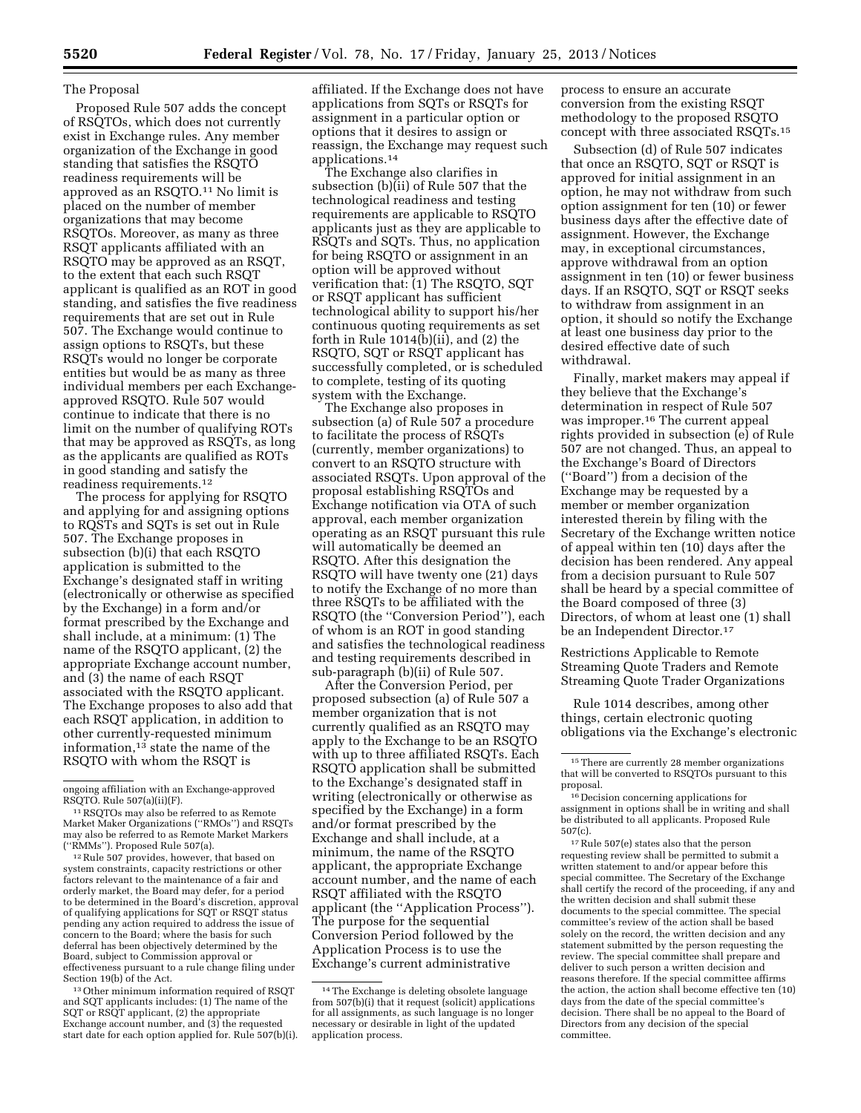#### The Proposal

Proposed Rule 507 adds the concept of RSQTOs, which does not currently exist in Exchange rules. Any member organization of the Exchange in good standing that satisfies the RSQTO readiness requirements will be approved as an RSQTO.11 No limit is placed on the number of member organizations that may become RSQTOs. Moreover, as many as three RSQT applicants affiliated with an RSQTO may be approved as an RSQT, to the extent that each such RSQT applicant is qualified as an ROT in good standing, and satisfies the five readiness requirements that are set out in Rule 507. The Exchange would continue to assign options to RSQTs, but these RSQTs would no longer be corporate entities but would be as many as three individual members per each Exchangeapproved RSQTO. Rule 507 would continue to indicate that there is no limit on the number of qualifying ROTs that may be approved as RSQTs, as long as the applicants are qualified as ROTs in good standing and satisfy the readiness requirements.12

The process for applying for RSQTO and applying for and assigning options to RQSTs and SQTs is set out in Rule 507. The Exchange proposes in subsection (b)(i) that each RSQTO application is submitted to the Exchange's designated staff in writing (electronically or otherwise as specified by the Exchange) in a form and/or format prescribed by the Exchange and shall include, at a minimum: (1) The name of the RSQTO applicant, (2) the appropriate Exchange account number, and (3) the name of each RSQT associated with the RSQTO applicant. The Exchange proposes to also add that each RSQT application, in addition to other currently-requested minimum information,13 state the name of the RSQTO with whom the RSQT is

 $12$  Rule 507 provides, however, that based on system constraints, capacity restrictions or other factors relevant to the maintenance of a fair and orderly market, the Board may defer, for a period to be determined in the Board's discretion, approval of qualifying applications for SQT or RSQT status pending any action required to address the issue of concern to the Board; where the basis for such deferral has been objectively determined by the Board, subject to Commission approval or effectiveness pursuant to a rule change filing under Section 19(b) of the Act.

13Other minimum information required of RSQT and SQT applicants includes: (1) The name of the SQT or RSQT applicant, (2) the appropriate Exchange account number, and (3) the requested start date for each option applied for. Rule 507(b)(i). affiliated. If the Exchange does not have applications from SQTs or RSQTs for assignment in a particular option or options that it desires to assign or reassign, the Exchange may request such applications.14

The Exchange also clarifies in subsection (b)(ii) of Rule 507 that the technological readiness and testing requirements are applicable to RSQTO applicants just as they are applicable to RSQTs and SQTs. Thus, no application for being RSQTO or assignment in an option will be approved without verification that: (1) The RSQTO, SQT or RSQT applicant has sufficient technological ability to support his/her continuous quoting requirements as set forth in Rule  $1014(b)(ii)$ , and  $(2)$  the RSQTO, SQT or RSQT applicant has successfully completed, or is scheduled to complete, testing of its quoting system with the Exchange.

The Exchange also proposes in subsection (a) of Rule 507 a procedure to facilitate the process of RSQTs (currently, member organizations) to convert to an RSQTO structure with associated RSQTs. Upon approval of the proposal establishing RSQTOs and Exchange notification via OTA of such approval, each member organization operating as an RSQT pursuant this rule will automatically be deemed an RSQTO. After this designation the RSQTO will have twenty one (21) days to notify the Exchange of no more than three RSQTs to be affiliated with the RSQTO (the ''Conversion Period''), each of whom is an ROT in good standing and satisfies the technological readiness and testing requirements described in sub-paragraph (b)(ii) of Rule 507.

After the Conversion Period, per proposed subsection (a) of Rule 507 a member organization that is not currently qualified as an RSQTO may apply to the Exchange to be an RSQTO with up to three affiliated RSQTs. Each RSQTO application shall be submitted to the Exchange's designated staff in writing (electronically or otherwise as specified by the Exchange) in a form and/or format prescribed by the Exchange and shall include, at a minimum, the name of the RSQTO applicant, the appropriate Exchange account number, and the name of each RSQT affiliated with the RSQTO applicant (the ''Application Process''). The purpose for the sequential Conversion Period followed by the Application Process is to use the Exchange's current administrative

process to ensure an accurate conversion from the existing RSQT methodology to the proposed RSQTO concept with three associated RSQTs.15

Subsection (d) of Rule 507 indicates that once an RSQTO, SQT or RSQT is approved for initial assignment in an option, he may not withdraw from such option assignment for ten (10) or fewer business days after the effective date of assignment. However, the Exchange may, in exceptional circumstances, approve withdrawal from an option assignment in ten (10) or fewer business days. If an RSQTO, SQT or RSQT seeks to withdraw from assignment in an option, it should so notify the Exchange at least one business day prior to the desired effective date of such withdrawal.

Finally, market makers may appeal if they believe that the Exchange's determination in respect of Rule 507 was improper.16 The current appeal rights provided in subsection (e) of Rule 507 are not changed. Thus, an appeal to the Exchange's Board of Directors (''Board'') from a decision of the Exchange may be requested by a member or member organization interested therein by filing with the Secretary of the Exchange written notice of appeal within ten (10) days after the decision has been rendered. Any appeal from a decision pursuant to Rule 507 shall be heard by a special committee of the Board composed of three (3) Directors, of whom at least one (1) shall be an Independent Director.17

Restrictions Applicable to Remote Streaming Quote Traders and Remote Streaming Quote Trader Organizations

Rule 1014 describes, among other things, certain electronic quoting obligations via the Exchange's electronic

17Rule 507(e) states also that the person requesting review shall be permitted to submit a written statement to and/or appear before this special committee. The Secretary of the Exchange shall certify the record of the proceeding, if any and the written decision and shall submit these documents to the special committee. The special committee's review of the action shall be based solely on the record, the written decision and any statement submitted by the person requesting the review. The special committee shall prepare and deliver to such person a written decision and reasons therefore. If the special committee affirms the action, the action shall become effective ten (10) days from the date of the special committee's decision. There shall be no appeal to the Board of Directors from any decision of the special committee.

ongoing affiliation with an Exchange-approved<br>RSQTO. Rule 507(a)(ii)(F).

<sup>&</sup>lt;sup>11</sup> RSQTOs may also be referred to as Remote Market Maker Organizations (''RMOs'') and RSQTs may also be referred to as Remote Market Markers

<sup>14</sup>The Exchange is deleting obsolete language from 507(b)(i) that it request (solicit) applications for all assignments, as such language is no longer necessary or desirable in light of the updated application process.

 $^{\rm 15}$  There are currently 28 member organizations that will be converted to RSQTOs pursuant to this proposal.

<sup>16</sup> Decision concerning applications for assignment in options shall be in writing and shall be distributed to all applicants. Proposed Rule 507(c).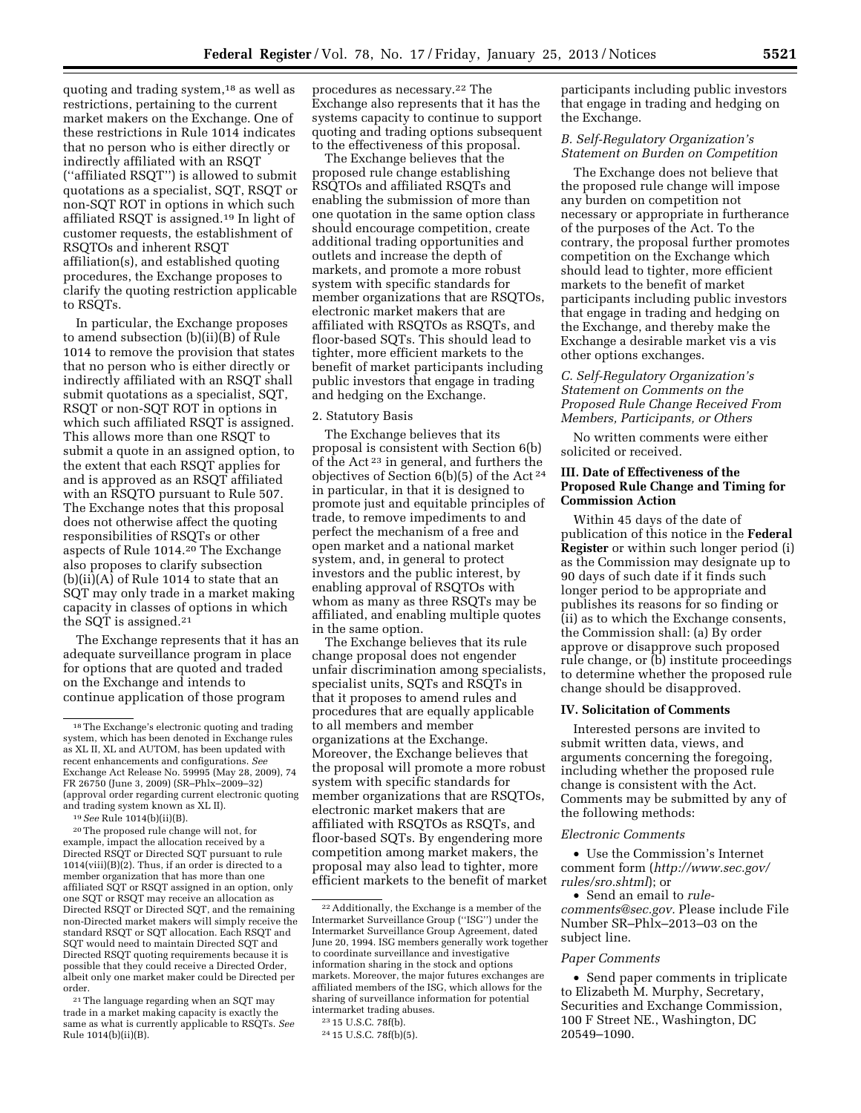quoting and trading system,18 as well as restrictions, pertaining to the current market makers on the Exchange. One of these restrictions in Rule 1014 indicates that no person who is either directly or indirectly affiliated with an RSQT (''affiliated RSQT'') is allowed to submit quotations as a specialist, SQT, RSQT or non-SQT ROT in options in which such affiliated RSQT is assigned.19 In light of customer requests, the establishment of RSQTOs and inherent RSQT affiliation(s), and established quoting procedures, the Exchange proposes to clarify the quoting restriction applicable to RSQTs.

In particular, the Exchange proposes to amend subsection (b)(ii)(B) of Rule 1014 to remove the provision that states that no person who is either directly or indirectly affiliated with an RSQT shall submit quotations as a specialist, SQT, RSQT or non-SQT ROT in options in which such affiliated RSQT is assigned. This allows more than one RSQT to submit a quote in an assigned option, to the extent that each RSQT applies for and is approved as an RSQT affiliated with an RSQTO pursuant to Rule 507. The Exchange notes that this proposal does not otherwise affect the quoting responsibilities of RSQTs or other aspects of Rule 1014.20 The Exchange also proposes to clarify subsection (b)(ii)(A) of Rule 1014 to state that an SQT may only trade in a market making capacity in classes of options in which the SQT is assigned.21

The Exchange represents that it has an adequate surveillance program in place for options that are quoted and traded on the Exchange and intends to continue application of those program

20The proposed rule change will not, for example, impact the allocation received by a Directed RSQT or Directed SQT pursuant to rule  $1014$ (viii)(B)(2). Thus, if an order is directed to a member organization that has more than one affiliated SQT or RSQT assigned in an option, only one SQT or RSQT may receive an allocation as Directed RSQT or Directed SQT, and the remaining non-Directed market makers will simply receive the standard RSQT or SQT allocation. Each RSQT and SQT would need to maintain Directed SQT and Directed RSQT quoting requirements because it is possible that they could receive a Directed Order, albeit only one market maker could be Directed per order.

21The language regarding when an SQT may trade in a market making capacity is exactly the same as what is currently applicable to RSQTs. *See*  Rule 1014(b)(ii)(B).

procedures as necessary.22 The Exchange also represents that it has the systems capacity to continue to support quoting and trading options subsequent to the effectiveness of this proposal.

The Exchange believes that the proposed rule change establishing RSQTOs and affiliated RSQTs and enabling the submission of more than one quotation in the same option class should encourage competition, create additional trading opportunities and outlets and increase the depth of markets, and promote a more robust system with specific standards for member organizations that are RSQTOs, electronic market makers that are affiliated with RSQTOs as RSQTs, and floor-based SQTs. This should lead to tighter, more efficient markets to the benefit of market participants including public investors that engage in trading and hedging on the Exchange.

#### 2. Statutory Basis

The Exchange believes that its proposal is consistent with Section 6(b) of the Act 23 in general, and furthers the objectives of Section  $6(b)(5)$  of the Act<sup>24</sup> in particular, in that it is designed to promote just and equitable principles of trade, to remove impediments to and perfect the mechanism of a free and open market and a national market system, and, in general to protect investors and the public interest, by enabling approval of RSQTOs with whom as many as three RSQTs may be affiliated, and enabling multiple quotes in the same option.

The Exchange believes that its rule change proposal does not engender unfair discrimination among specialists, specialist units, SQTs and RSQTs in that it proposes to amend rules and procedures that are equally applicable to all members and member organizations at the Exchange. Moreover, the Exchange believes that the proposal will promote a more robust system with specific standards for member organizations that are RSQTOs, electronic market makers that are affiliated with RSQTOs as RSQTs, and floor-based SQTs. By engendering more competition among market makers, the proposal may also lead to tighter, more efficient markets to the benefit of market participants including public investors that engage in trading and hedging on the Exchange.

## *B. Self-Regulatory Organization's Statement on Burden on Competition*

The Exchange does not believe that the proposed rule change will impose any burden on competition not necessary or appropriate in furtherance of the purposes of the Act. To the contrary, the proposal further promotes competition on the Exchange which should lead to tighter, more efficient markets to the benefit of market participants including public investors that engage in trading and hedging on the Exchange, and thereby make the Exchange a desirable market vis a vis other options exchanges.

## *C. Self-Regulatory Organization's Statement on Comments on the Proposed Rule Change Received From Members, Participants, or Others*

No written comments were either solicited or received.

## **III. Date of Effectiveness of the Proposed Rule Change and Timing for Commission Action**

Within 45 days of the date of publication of this notice in the **Federal Register** or within such longer period (i) as the Commission may designate up to 90 days of such date if it finds such longer period to be appropriate and publishes its reasons for so finding or (ii) as to which the Exchange consents, the Commission shall: (a) By order approve or disapprove such proposed rule change, or (b) institute proceedings to determine whether the proposed rule change should be disapproved.

# **IV. Solicitation of Comments**

Interested persons are invited to submit written data, views, and arguments concerning the foregoing, including whether the proposed rule change is consistent with the Act. Comments may be submitted by any of the following methods:

#### *Electronic Comments*

• Use the Commission's Internet comment form (*[http://www.sec.gov/](http://www.sec.gov/rules/sro.shtml)  [rules/sro.shtml](http://www.sec.gov/rules/sro.shtml)*); or

• Send an email to *[rule](mailto:rule-comments@sec.gov)[comments@sec.gov.](mailto:rule-comments@sec.gov)* Please include File Number SR–Phlx–2013–03 on the subject line.

#### *Paper Comments*

• Send paper comments in triplicate to Elizabeth M. Murphy, Secretary, Securities and Exchange Commission, 100 F Street NE., Washington, DC 20549–1090.

<sup>18</sup>The Exchange's electronic quoting and trading system, which has been denoted in Exchange rules as XL II, XL and AUTOM, has been updated with recent enhancements and configurations. *See*  Exchange Act Release No. 59995 (May 28, 2009), 74 FR 26750 (June 3, 2009) (SR–Phlx–2009–32) (approval order regarding current electronic quoting and trading system known as XL II).

<sup>19</sup>*See* Rule 1014(b)(ii)(B).

<sup>22</sup>Additionally, the Exchange is a member of the Intermarket Surveillance Group (''ISG'') under the Intermarket Surveillance Group Agreement, dated June 20, 1994. ISG members generally work together to coordinate surveillance and investigative information sharing in the stock and options markets. Moreover, the major futures exchanges are affiliated members of the ISG, which allows for the sharing of surveillance information for potential intermarket trading abuses.

<sup>23</sup> 15 U.S.C. 78f(b).

<sup>24</sup> 15 U.S.C. 78f(b)(5).